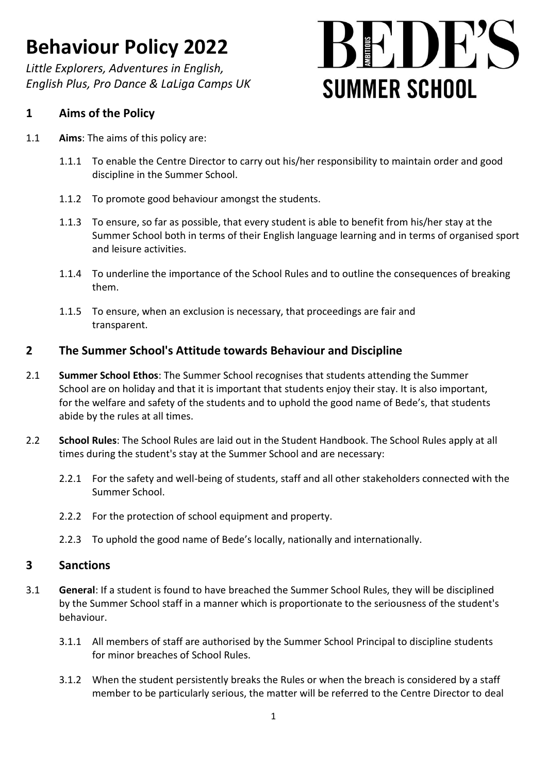*Little Explorers, Adventures in English, English Plus, Pro Dance & LaLiga Camps UK*

# $\mathbf{H}^{\prime}$  ,  $\mathbf{H}^{\prime}$ **SUMMER SCHOOL**

### **1 Aims of the Policy**

- 1.1 **Aims**: The aims of this policy are:
	- 1.1.1 To enable the Centre Director to carry out his/her responsibility to maintain order and good discipline in the Summer School.
	- 1.1.2 To promote good behaviour amongst the students.
	- 1.1.3 To ensure, so far as possible, that every student is able to benefit from his/her stay at the Summer School both in terms of their English language learning and in terms of organised sport and leisure activities.
	- 1.1.4 To underline the importance of the School Rules and to outline the consequences of breaking them.
	- 1.1.5 To ensure, when an exclusion is necessary, that proceedings are fair and transparent.

### **2 The Summer School's Attitude towards Behaviour and Discipline**

- 2.1 **Summer School Ethos**: The Summer School recognises that students attending the Summer School are on holiday and that it is important that students enjoy their stay. It is also important, for the welfare and safety of the students and to uphold the good name of Bede's, that students abide by the rules at all times.
- 2.2 **School Rules**: The School Rules are laid out in the Student Handbook. The School Rules apply at all times during the student's stay at the Summer School and are necessary:
	- 2.2.1 For the safety and well-being of students, staff and all other stakeholders connected with the Summer School.
	- 2.2.2 For the protection of school equipment and property.
	- 2.2.3 To uphold the good name of Bede's locally, nationally and internationally.

#### **3 Sanctions**

- 3.1 **General**: If a student is found to have breached the Summer School Rules, they will be disciplined by the Summer School staff in a manner which is proportionate to the seriousness of the student's behaviour.
	- 3.1.1 All members of staff are authorised by the Summer School Principal to discipline students for minor breaches of School Rules.
	- 3.1.2 When the student persistently breaks the Rules or when the breach is considered by a staff member to be particularly serious, the matter will be referred to the Centre Director to deal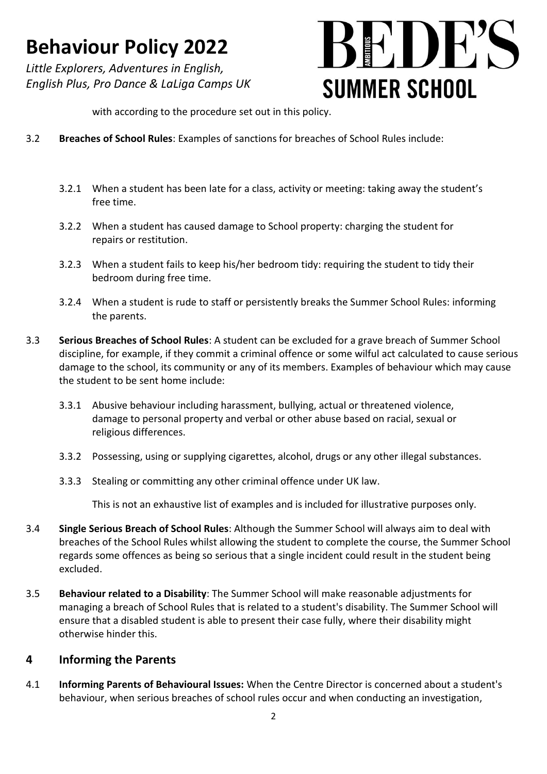*Little Explorers, Adventures in English, English Plus, Pro Dance & LaLiga Camps UK*

# $\mathbb{R}$   $\mathbb{R}$   $\mathbb{R}$   $\mathbb{R}$   $\mathbb{R}$   $\mathbb{R}$   $\mathbb{R}$   $\mathbb{R}$   $\mathbb{R}$   $\mathbb{R}$   $\mathbb{R}$   $\mathbb{R}$   $\mathbb{R}$   $\mathbb{R}$   $\mathbb{R}$   $\mathbb{R}$   $\mathbb{R}$   $\mathbb{R}$   $\mathbb{R}$   $\mathbb{R}$   $\mathbb{R}$   $\mathbb{R}$   $\mathbb{R}$   $\mathbb{R}$   $\mathbb{$ **SUMMER SCHOOL**

with according to the procedure set out in this policy.

- 3.2 **Breaches of School Rules**: Examples of sanctions for breaches of School Rules include:
	- 3.2.1 When a student has been late for a class, activity or meeting: taking away the student's free time.
	- 3.2.2 When a student has caused damage to School property: charging the student for repairs or restitution.
	- 3.2.3 When a student fails to keep his/her bedroom tidy: requiring the student to tidy their bedroom during free time.
	- 3.2.4 When a student is rude to staff or persistently breaks the Summer School Rules: informing the parents.
- 3.3 **Serious Breaches of School Rules**: A student can be excluded for a grave breach of Summer School discipline, for example, if they commit a criminal offence or some wilful act calculated to cause serious damage to the school, its community or any of its members. Examples of behaviour which may cause the student to be sent home include:
	- 3.3.1 Abusive behaviour including harassment, bullying, actual or threatened violence, damage to personal property and verbal or other abuse based on racial, sexual or religious differences.
	- 3.3.2 Possessing, using or supplying cigarettes, alcohol, drugs or any other illegal substances.
	- 3.3.3 Stealing or committing any other criminal offence under UK law.

This is not an exhaustive list of examples and is included for illustrative purposes only.

- 3.4 **Single Serious Breach of School Rules**: Although the Summer School will always aim to deal with breaches of the School Rules whilst allowing the student to complete the course, the Summer School regards some offences as being so serious that a single incident could result in the student being excluded.
- 3.5 **Behaviour related to a Disability**: The Summer School will make reasonable adjustments for managing a breach of School Rules that is related to a student's disability. The Summer School will ensure that a disabled student is able to present their case fully, where their disability might otherwise hinder this.

### **4 Informing the Parents**

4.1 **Informing Parents of Behavioural Issues:** When the Centre Director is concerned about a student's behaviour, when serious breaches of school rules occur and when conducting an investigation,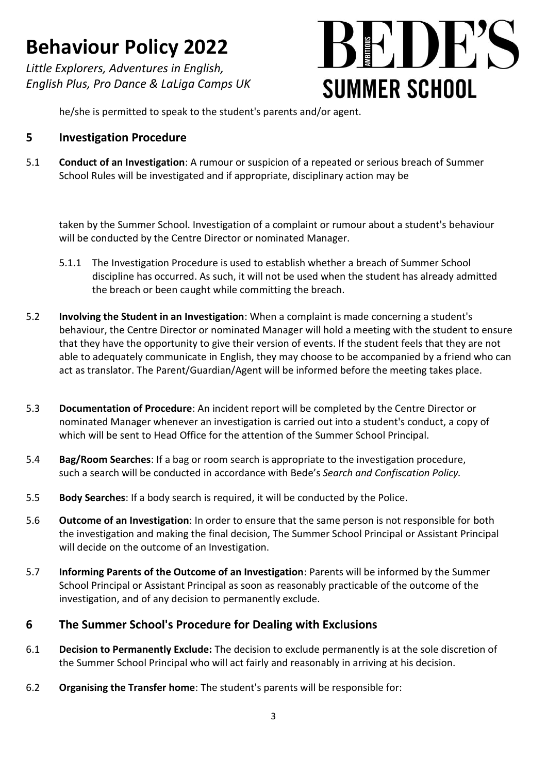*Little Explorers, Adventures in English, English Plus, Pro Dance & LaLiga Camps UK*



he/she is permitted to speak to the student's parents and/or agent.

### **5 Investigation Procedure**

5.1 **Conduct of an Investigation**: A rumour or suspicion of a repeated or serious breach of Summer School Rules will be investigated and if appropriate, disciplinary action may be

taken by the Summer School. Investigation of a complaint or rumour about a student's behaviour will be conducted by the Centre Director or nominated Manager.

- 5.1.1 The Investigation Procedure is used to establish whether a breach of Summer School discipline has occurred. As such, it will not be used when the student has already admitted the breach or been caught while committing the breach.
- 5.2 **Involving the Student in an Investigation**: When a complaint is made concerning a student's behaviour, the Centre Director or nominated Manager will hold a meeting with the student to ensure that they have the opportunity to give their version of events. If the student feels that they are not able to adequately communicate in English, they may choose to be accompanied by a friend who can act as translator. The Parent/Guardian/Agent will be informed before the meeting takes place.
- 5.3 **Documentation of Procedure**: An incident report will be completed by the Centre Director or nominated Manager whenever an investigation is carried out into a student's conduct, a copy of which will be sent to Head Office for the attention of the Summer School Principal.
- 5.4 **Bag/Room Searches**: If a bag or room search is appropriate to the investigation procedure, such a search will be conducted in accordance with Bede's *Search and Confiscation Policy.*
- 5.5 **Body Searches**: If a body search is required, it will be conducted by the Police.
- 5.6 **Outcome of an Investigation**: In order to ensure that the same person is not responsible for both the investigation and making the final decision, The Summer School Principal or Assistant Principal will decide on the outcome of an Investigation.
- 5.7 **Informing Parents of the Outcome of an Investigation**: Parents will be informed by the Summer School Principal or Assistant Principal as soon as reasonably practicable of the outcome of the investigation, and of any decision to permanently exclude.

### **6 The Summer School's Procedure for Dealing with Exclusions**

- 6.1 **Decision to Permanently Exclude:** The decision to exclude permanently is at the sole discretion of the Summer School Principal who will act fairly and reasonably in arriving at his decision.
- 6.2 **Organising the Transfer home**: The student's parents will be responsible for: